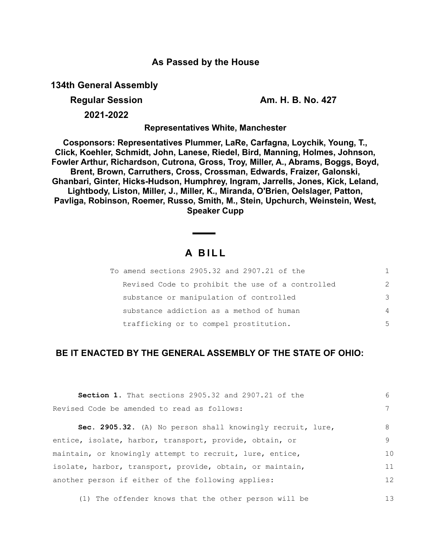## **As Passed by the House**

**134th General Assembly**

**Regular Session Am. H. B. No. 427** 

**2021-2022**

**Representatives White, Manchester**

**Cosponsors: Representatives Plummer, LaRe, Carfagna, Loychik, Young, T., Click, Koehler, Schmidt, John, Lanese, Riedel, Bird, Manning, Holmes, Johnson, Fowler Arthur, Richardson, Cutrona, Gross, Troy, Miller, A., Abrams, Boggs, Boyd, Brent, Brown, Carruthers, Cross, Crossman, Edwards, Fraizer, Galonski, Ghanbari, Ginter, Hicks-Hudson, Humphrey, Ingram, Jarrells, Jones, Kick, Leland, Lightbody, Liston, Miller, J., Miller, K., Miranda, O'Brien, Oelslager, Patton, Pavliga, Robinson, Roemer, Russo, Smith, M., Stein, Upchurch, Weinstein, West, Speaker Cupp**

# **A B I L L**

| To amend sections 2905.32 and 2907.21 of the     |               |
|--------------------------------------------------|---------------|
| Revised Code to prohibit the use of a controlled | $\mathcal{L}$ |
| substance or manipulation of controlled          | 3             |
| substance addiction as a method of human         | 4             |
| trafficking or to compel prostitution.           | .5            |

## **BE IT ENACTED BY THE GENERAL ASSEMBLY OF THE STATE OF OHIO:**

| <b>Section 1.</b> That sections 2905.32 and 2907.21 of the | 6              |
|------------------------------------------------------------|----------------|
| Revised Code be amended to read as follows:                |                |
| Sec. 2905.32. (A) No person shall knowingly recruit, lure, | 8              |
| entice, isolate, harbor, transport, provide, obtain, or    | 9              |
| maintain, or knowingly attempt to recruit, lure, entice,   | 1 <sub>0</sub> |
| isolate, harbor, transport, provide, obtain, or maintain,  | 11             |
| another person if either of the following applies:         | 12             |
|                                                            |                |

(1) The offender knows that the other person will be 13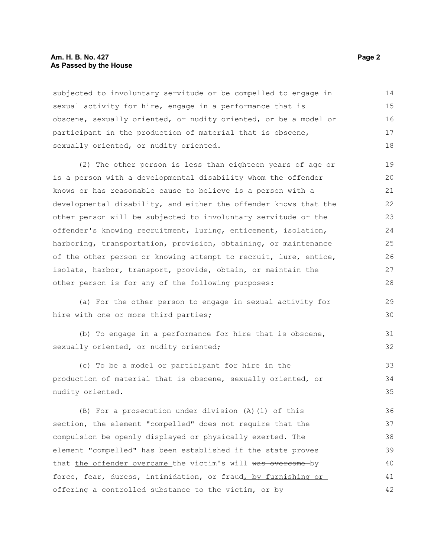### **Am. H. B. No. 427** Page 2 **As Passed by the House**

subjected to involuntary servitude or be compelled to engage in sexual activity for hire, engage in a performance that is obscene, sexually oriented, or nudity oriented, or be a model or participant in the production of material that is obscene, sexually oriented, or nudity oriented. 14 15 16 17 18

(2) The other person is less than eighteen years of age or is a person with a developmental disability whom the offender knows or has reasonable cause to believe is a person with a developmental disability, and either the offender knows that the other person will be subjected to involuntary servitude or the offender's knowing recruitment, luring, enticement, isolation, harboring, transportation, provision, obtaining, or maintenance of the other person or knowing attempt to recruit, lure, entice, isolate, harbor, transport, provide, obtain, or maintain the other person is for any of the following purposes:

(a) For the other person to engage in sexual activity for hire with one or more third parties;

(b) To engage in a performance for hire that is obscene, sexually oriented, or nudity oriented;

(c) To be a model or participant for hire in the production of material that is obscene, sexually oriented, or nudity oriented. 33 34 35

(B) For a prosecution under division (A)(1) of this section, the element "compelled" does not require that the compulsion be openly displayed or physically exerted. The element "compelled" has been established if the state proves that the offender overcame the victim's will was overcome by force, fear, duress, intimidation, or fraud, by furnishing or offering a controlled substance to the victim, or by 36 37 38 39 40 41 42

29 30

31 32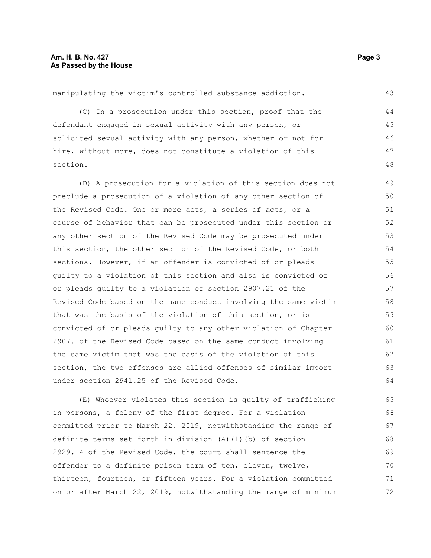#### manipulating the victim's controlled substance addiction.

(C) In a prosecution under this section, proof that the defendant engaged in sexual activity with any person, or solicited sexual activity with any person, whether or not for hire, without more, does not constitute a violation of this section.

(D) A prosecution for a violation of this section does not preclude a prosecution of a violation of any other section of the Revised Code. One or more acts, a series of acts, or a course of behavior that can be prosecuted under this section or any other section of the Revised Code may be prosecuted under this section, the other section of the Revised Code, or both sections. However, if an offender is convicted of or pleads guilty to a violation of this section and also is convicted of or pleads guilty to a violation of section 2907.21 of the Revised Code based on the same conduct involving the same victim that was the basis of the violation of this section, or is convicted of or pleads guilty to any other violation of Chapter 2907. of the Revised Code based on the same conduct involving the same victim that was the basis of the violation of this section, the two offenses are allied offenses of similar import under section 2941.25 of the Revised Code. 49 50 51 52 53 54 55 56 57 58 59 60 61 62 63 64

(E) Whoever violates this section is guilty of trafficking in persons, a felony of the first degree. For a violation committed prior to March 22, 2019, notwithstanding the range of definite terms set forth in division (A)(1)(b) of section 2929.14 of the Revised Code, the court shall sentence the offender to a definite prison term of ten, eleven, twelve, thirteen, fourteen, or fifteen years. For a violation committed on or after March 22, 2019, notwithstanding the range of minimum 65 66 67 68 69 70 71 72

43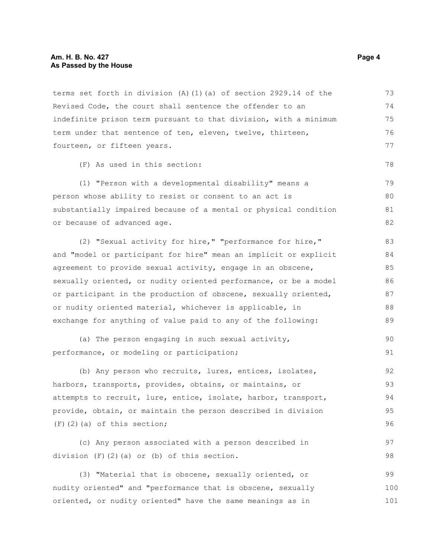### **Am. H. B. No. 427** Page 4 **As Passed by the House**

terms set forth in division (A)(1)(a) of section 2929.14 of the Revised Code, the court shall sentence the offender to an indefinite prison term pursuant to that division, with a minimum term under that sentence of ten, eleven, twelve, thirteen, fourteen, or fifteen years. (F) As used in this section: (1) "Person with a developmental disability" means a person whose ability to resist or consent to an act is substantially impaired because of a mental or physical condition or because of advanced age. (2) "Sexual activity for hire," "performance for hire," and "model or participant for hire" mean an implicit or explicit agreement to provide sexual activity, engage in an obscene, sexually oriented, or nudity oriented performance, or be a model or participant in the production of obscene, sexually oriented, or nudity oriented material, whichever is applicable, in exchange for anything of value paid to any of the following: (a) The person engaging in such sexual activity, performance, or modeling or participation; (b) Any person who recruits, lures, entices, isolates, harbors, transports, provides, obtains, or maintains, or attempts to recruit, lure, entice, isolate, harbor, transport, provide, obtain, or maintain the person described in division (F)(2)(a) of this section; (c) Any person associated with a person described in division (F)(2)(a) or (b) of this section. (3) "Material that is obscene, sexually oriented, or nudity oriented" and "performance that is obscene, sexually oriented, or nudity oriented" have the same meanings as in 73 74 75 76 77 78 79 80 81 82 83 84 85 86 87 88 89  $90$ 91 92 93 94 95 96 97 98 99 100 101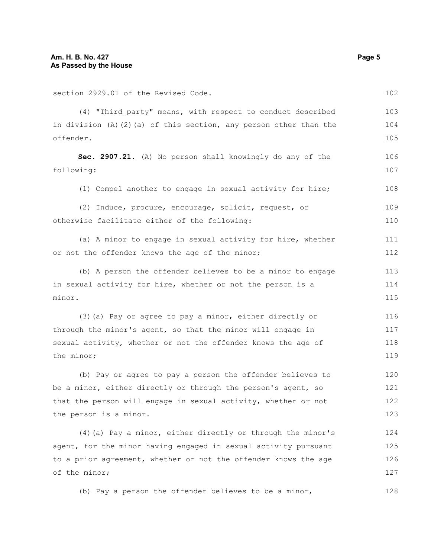of the minor;

| section 2929.01 of the Revised Code.                                                  | 102        |
|---------------------------------------------------------------------------------------|------------|
| (4) "Third party" means, with respect to conduct described                            | 103        |
| in division $(A)$ $(2)$ $(a)$ of this section, any person other than the<br>offender. | 104<br>105 |
| Sec. 2907.21. (A) No person shall knowingly do any of the<br>following:               | 106<br>107 |
| (1) Compel another to engage in sexual activity for hire;                             | 108        |
| (2) Induce, procure, encourage, solicit, request, or                                  | 109        |
| otherwise facilitate either of the following:                                         | 110        |
| (a) A minor to engage in sexual activity for hire, whether                            | 111        |
| or not the offender knows the age of the minor;                                       | 112        |
| (b) A person the offender believes to be a minor to engage                            | 113        |
| in sexual activity for hire, whether or not the person is a                           | 114        |
| minor.                                                                                | 115        |
| (3) (a) Pay or agree to pay a minor, either directly or                               | 116        |
| through the minor's agent, so that the minor will engage in                           | 117        |
| sexual activity, whether or not the offender knows the age of                         | 118        |
| the minor;                                                                            |            |
| (b) Pay or agree to pay a person the offender believes to                             | 120        |
| be a minor, either directly or through the person's agent, so                         | 121        |
| that the person will engage in sexual activity, whether or not                        | 122        |
| the person is a minor.                                                                | 123        |
| (4) (a) Pay a minor, either directly or through the minor's                           | 124        |
| agent, for the minor having engaged in sexual activity pursuant                       | 125        |
| to a prior agreement, whether or not the offender knows the age                       | 126        |

(b) Pay a person the offender believes to be a minor,

128

127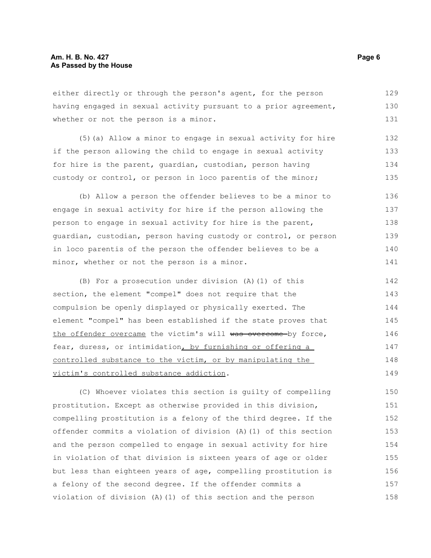either directly or through the person's agent, for the person having engaged in sexual activity pursuant to a prior agreement, whether or not the person is a minor. 129 130 131

(5)(a) Allow a minor to engage in sexual activity for hire if the person allowing the child to engage in sexual activity for hire is the parent, guardian, custodian, person having custody or control, or person in loco parentis of the minor; 132 133 134 135

(b) Allow a person the offender believes to be a minor to engage in sexual activity for hire if the person allowing the person to engage in sexual activity for hire is the parent, guardian, custodian, person having custody or control, or person in loco parentis of the person the offender believes to be a minor, whether or not the person is a minor. 136 137 138 139 140 141

(B) For a prosecution under division (A)(1) of this section, the element "compel" does not require that the compulsion be openly displayed or physically exerted. The element "compel" has been established if the state proves that the offender overcame the victim's will was overcome by force, fear, duress, or intimidation, by furnishing or offering a controlled substance to the victim, or by manipulating the victim's controlled substance addiction. 142 143 144 145 146 147 148 149

(C) Whoever violates this section is guilty of compelling prostitution. Except as otherwise provided in this division, compelling prostitution is a felony of the third degree. If the offender commits a violation of division (A)(1) of this section and the person compelled to engage in sexual activity for hire in violation of that division is sixteen years of age or older but less than eighteen years of age, compelling prostitution is a felony of the second degree. If the offender commits a violation of division (A)(1) of this section and the person 150 151 152 153 154 155 156 157 158